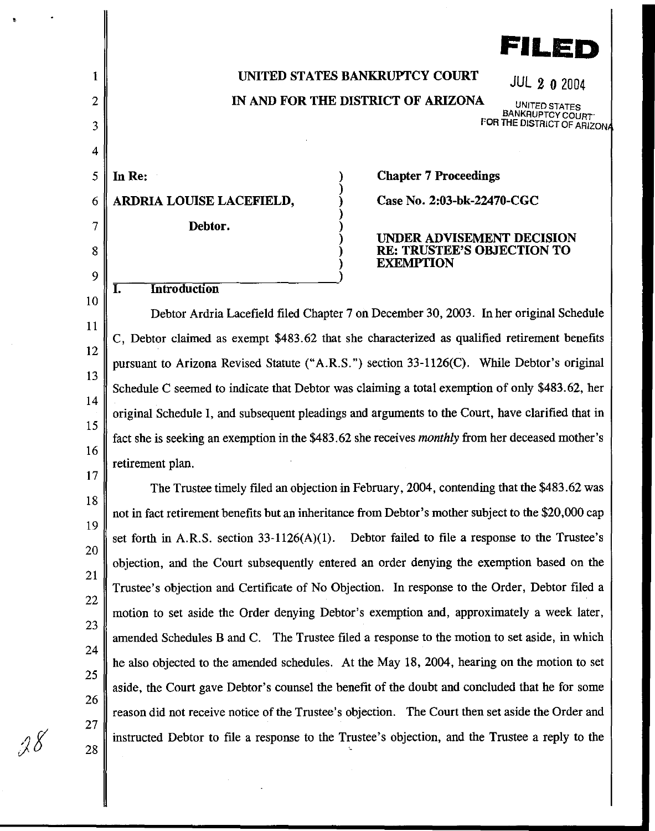

# UNITED STATES BANKRUPTCY COURT JUL 2 0 2004

IN AND FOR THE DISTRICT OF ARIZONA

) ) ) ) )

) )

UNITED STATES<br>BANKRUPTCY COURT FOR THE DISTRICT OF ARIZON

 $5 \parallel \text{In} \text{Re}$ : ARDRIA LOUISE LACEFIELD, Debtor.

**I.** Introduction

1

2

3

4

6

7

8

9

*)f* 

Chapter 7 Proceedings

Case No. 2:03-bk-22470-CGC

UNDER ADVISEMENT DECISION RE: TRUSTEE'S OBJECTION TO EXEMPTION

10 11 12 13 14 15 16 17 Debtor Ardria Lacefield filed Chapter 7 on December 30, 2003. In her original Schedule C, Debtor claimed as exempt \$483.62 that she characterized as qualified retirement benefits pursuant to Arizona Revised Statute ("A.R.S. ") section 33-1126(C). While Debtor's original Schedule C seemed to indicate that Debtor was claiming a total exemption of only \$483.62, her original Schedule I, and subsequent pleadings and arguments to the Court, have clarified that in fact she is seeking an exemption in the \$483.62 she receives monthly from her deceased mother's retirement plan.

18 19 20 21 22 23 24 25 26 27 28 The Trustee timely filed an objection in February, 2004, contending that the \$483 .62 was not in fact retirement benefits but an inheritance from Debtor's mother subject to the \$20,000 cap set forth in A.R.S. section  $33-1126(A)(1)$ . Debtor failed to file a response to the Trustee's objection, and the Court subsequently entered an order denying the exemption based on the Trustee's objection and Certificate of No Objection. In response to the Order, Debtor filed a motion to set aside the Order denying Debtor's exemption and, approximately a week later, amended Schedules B and C. The Trustee filed a response to the motion to set aside, in which he also objected to the amended schedules. At the May 18, 2004, hearing on the motion to set aside, the Court gave Debtor's counsel the benefit of the doubt and concluded that he for some reason did not receive notice of the Trustee's objection. The Court then set aside the Order and instructed Debtor to file a response to the Trustee's objection, and the Trustee a reply to the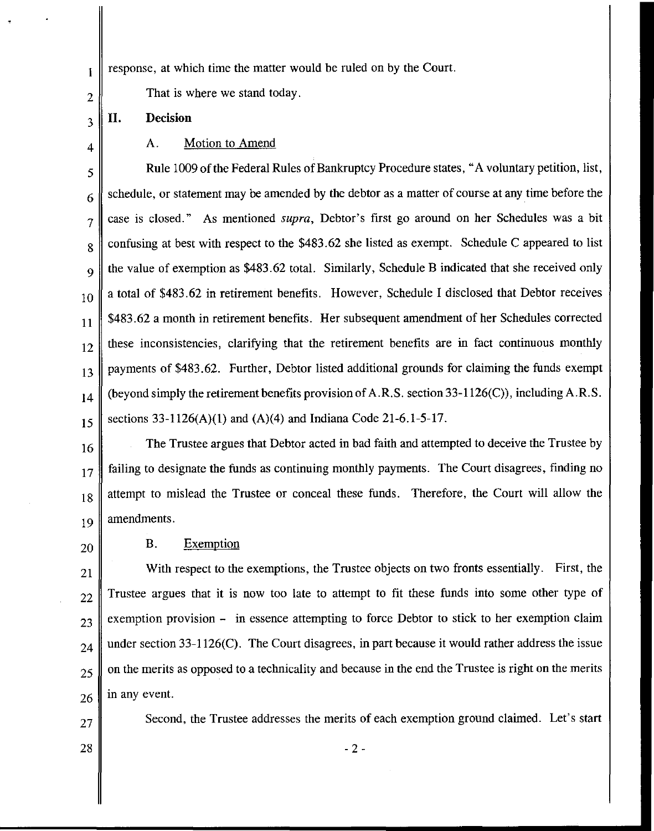$\parallel$  1 response, at which time the matter would be ruled on by the Court.

That is where we stand today.

### **II. Decision**

2

3

4

### A. Motion to Amend

5 6 7 8 9 10 11 12 13 14 15 Rule 1009 of the Federal Rules of Bankruptcy Procedure states, "A voluntary petition, list, schedule, or statement may be amended by the debtor as a matter of course at any time before the case is closed." As mentioned *supra,* Debtor's first go around on her Schedules was a bit confusing at best with respect to the \$483.62 she listed as exempt. Schedule C appeared to list the value of exemption as \$483.62 total. Similarly, Schedule B indicated that she received only a total of \$483.62 in retirement benefits. However, Schedule I disclosed that Debtor receives \$483.62 a month in retirement benefits. Her subsequent amendment of her Schedules corrected these inconsistencies, clarifying that the retirement benefits are in fact continuous monthly payments of \$483.62. Further, Debtor listed additional grounds for claiming the funds exempt (beyond simply the retirement benefits provision of A.R.S. section 33-1126(C)), including A.R.S. sections  $33-1126(A)(1)$  and  $(A)(4)$  and Indiana Code 21-6.1-5-17.

16 17 18 19 The Trustee argues that Debtor acted in bad faith and attempted to deceive the Trustee by failing to designate the funds as continuing monthly payments. The Court disagrees, finding no attempt to mislead the Trustee or conceal these funds. Therefore, the Court will allow the amendments.

20

## B. Exemption

 With respect to the exemptions, the Trustee objects on two fronts essentially. First, the Trustee argues that it is now too late to attempt to fit these funds into some other type of exemption provision - in essence attempting to force Debtor to stick to her exemption claim  $_{24}$  under section 33-1126(C). The Court disagrees, in part because it would rather address the issue  $25 \parallel$  on the merits as opposed to a technicality and because in the end the Trustee is right on the merits in any event.

 $27$  Second, the Trustee addresses the merits of each exemption ground claimed. Let's start

 $28 \parallel -2 \cdot$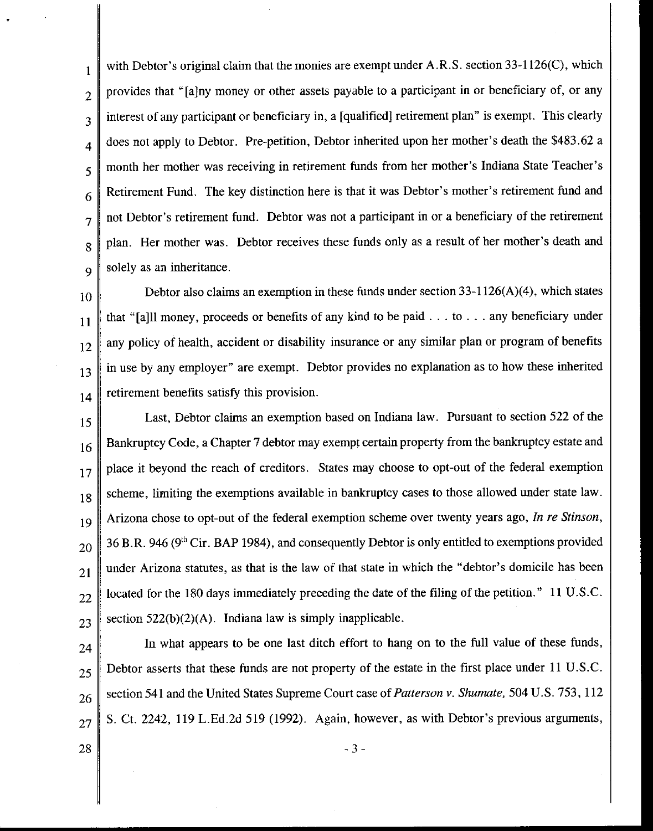$\parallel$  with Debtor's original claim that the monies are exempt under A.R.S. section 33-1126(C), which  $2 \parallel$  provides that "[a]ny money or other assets payable to a participant in or beneficiary of, or any  $3 \parallel$  interest of any participant or beneficiary in, a [qualified] retirement plan" is exempt. This clearly  $\frac{4}{4}$  does not apply to Debtor. Pre-petition, Debtor inherited upon her mother's death the \$483.62 a 5 month her mother was receiving in retirement funds from her mother's Indiana State Teacher's  $6 \parallel$  Retirement Fund. The key distinction here is that it was Debtor's mother's retirement fund and  $7 \parallel$  not Debtor's retirement fund. Debtor was not a participant in or a beneficiary of the retirement  $8 \parallel$  plan. Her mother was. Debtor receives these funds only as a result of her mother's death and  $9 \parallel$  solely as an inheritance.

10 Debtor also claims an exemption in these funds under section 33-1126(A)(4), which states  $_{11}$  that "[a]ll money, proceeds or benefits of any kind to be paid ... to ... any beneficiary under  $\|12\|$  any policy of health, accident or disability insurance or any similar plan or program of benefits  $\mathbf{13}$  in use by any employer" are exempt. Debtor provides no explanation as to how these inherited  $_{14}$  retirement benefits satisfy this provision.

15 Last, Debtor claims an exemption based on Indiana law. Pursuant to section 522 of the 16 Bankruptcy Code, a Chapter 7 debtor may exempt certain property from the bankruptcy estate and  $17$  place it beyond the reach of creditors. States may choose to opt-out of the federal exemption  $18$  scheme, limiting the exemptions available in bankruptcy cases to those allowed under state law. <sup>19</sup>Arizona chose to opt-out of the federal exemption scheme over twenty years ago, *In re Stinson,*   $20\parallel$  36 B.R. 946 (9<sup>th</sup> Cir. BAP 1984), and consequently Debtor is only entitled to exemptions provided  $21$  under Arizona statutes, as that is the law of that state in which the "debtor's domicile has been  $22$  | located for the 180 days immediately preceding the date of the filing of the petition." 11 U.S.C.  $23 \parallel$  section 522(b)(2)(A). Indiana law is simply inapplicable.

 $24$  In what appears to be one last ditch effort to hang on to the full value of these funds,  $25 \parallel$  Debtor asserts that these funds are not property of the estate in the first place under 11 U.S.C. 26 Section 541 and the United States Supreme Court case of *Patterson v. Shumate*, 504 U.S. 753, 112  $_{27}$  S. Ct. 2242, 119 L.Ed.2d 519 (1992). Again, however, as with Debtor's previous arguments,

28  $\parallel$  - 3 -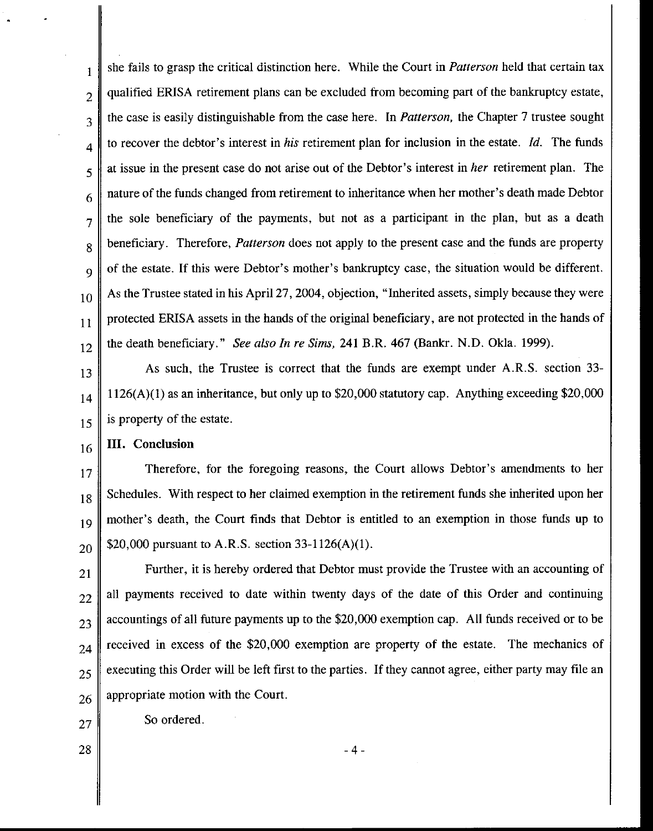1 2 3 4 5 6 7 8 9 10 11 12 she fails to grasp the critical distinction here. While the Court in *Patterson* held that certain tax qualified ERISA retirement plans can be excluded from becoming part of the bankruptcy estate, the case is easily distinguishable from the case here. In *Patterson,* the Chapter 7 trustee sought to recover the debtor's interest in *his* retirement plan for inclusion in the estate. *!d.* The funds at issue in the present case do not arise out of the Debtor's interest in *her* retirement plan. The nature of the funds changed from retirement to inheritance when her mother's death made Debtor the sole beneficiary of the payments, but not as a participant in the plan, but as a death beneficiary. Therefore, *Patterson* does not apply to the present case and the funds are property of the estate. If this were Debtor's mother's bankruptcy case, the situation would be different. As the Trustee stated in his April27, 2004, objection, "Inherited assets, simply because they were protected ERISA assets in the hands of the original beneficiary, are not protected in the hands of the death beneficiary." *See also In re Sims,* 241 B.R. 467 (Bankr. N.D. Okla. 1999).

13 14 15 As such, the Trustee is correct that the funds are exempt under A.R.S. section 33- 1126(A)(l) as an inheritance, but only up to \$20,000 statutory cap. Anything exceeding \$20,000 is property of the estate.

#### 16 III. Conclusion

17 18 19 20 Therefore, for the foregoing reasons, the Court allows Debtor's amendments to her Schedules. With respect to her claimed exemption in the retirement funds she inherited upon her mother's death, the Court finds that Debtor is entitled to an exemption in those funds up to \$20,000 pursuant to A.R.S. section 33-1126(A)(l).

21 22 23 24 25 26 Further, it is hereby ordered that Debtor must provide the Trustee with an accounting of all payments received to date within twenty days of the date of this Order and continuing accountings of all future payments up to the \$20,000 exemption cap. All funds received or to be received in excess of the \$20,000 exemption are property of the estate. The mechanics of executing this Order will be left first to the parties. If they cannot agree, either party may file an appropriate motion with the Court.

-4-

So ordered.

28

27